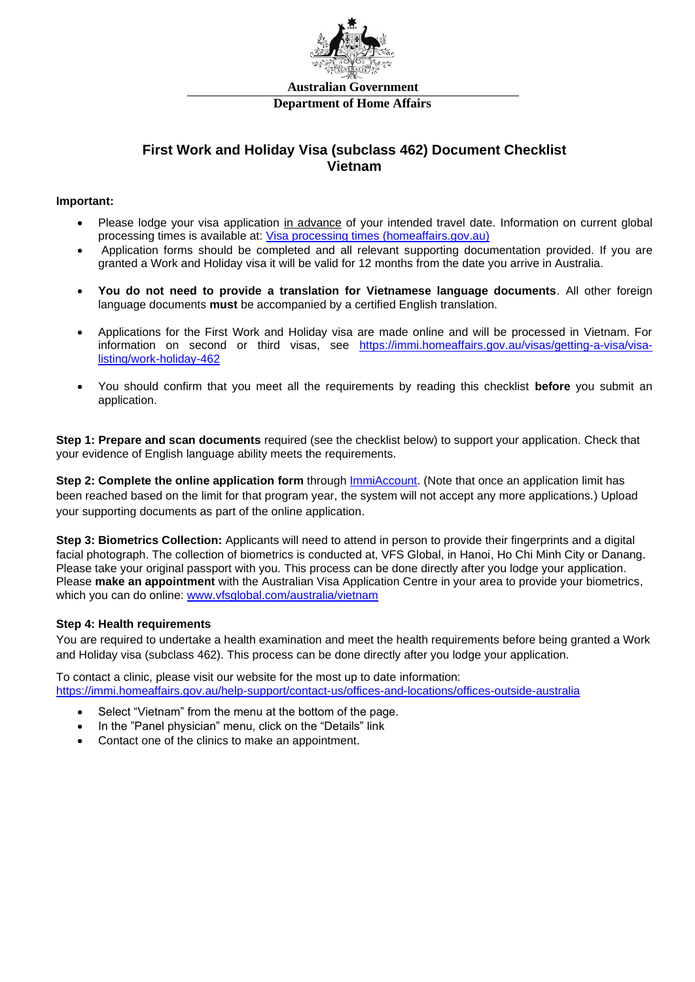

## **First Work and Holiday Visa (subclass 462) Document Checklist Vietnam**

## **Important:**

- Please lodge your visa application in advance of your intended travel date. Information on current global processing times is available at: [Visa processing times \(homeaffairs.gov.au\)](https://immi.homeaffairs.gov.au/visas/getting-a-visa/visa-processing-times)
- Application forms should be completed and all relevant supporting documentation provided. If you are granted a Work and Holiday visa it will be valid for 12 months from the date you arrive in Australia.
- **You do not need to provide a translation for Vietnamese language documents**. All other foreign language documents **must** be accompanied by a certified English translation.
- Applications for the First Work and Holiday visa are made online and will be processed in Vietnam. For information on second or third visas, see [https://immi.homeaffairs.gov.au/visas/getting-a-visa/visa](https://immi.homeaffairs.gov.au/visas/getting-a-visa/visa-listing/work-holiday-462)[listing/work-holiday-462](https://immi.homeaffairs.gov.au/visas/getting-a-visa/visa-listing/work-holiday-462)
- You should confirm that you meet all the requirements by reading this checklist **before** you submit an application.

**Step 1: Prepare and scan documents** required (see the checklist below) to support your application. Check that your evidence of English language ability meets the requirements.

**Step 2: Complete the online application form** through [ImmiAccount.](https://online.immi.gov.au/lusc/login) (Note that once an application limit has been reached based on the limit for that program year, the system will not accept any more applications.) Upload your supporting documents as part of the online application.

**Step 3: Biometrics Collection:** Applicants will need to attend in person to provide their fingerprints and a digital facial photograph. The collection of biometrics is conducted at, VFS Global, in Hanoi, Ho Chi Minh City or Danang. Please take your original passport with you. This process can be done directly after you lodge your application. Please **make an appointment** with the Australian Visa Application Centre in your area to provide your biometrics, which you can do online: [www.vfsglobal.com/australia/vietnam](http://www.vfsglobal.com/australia/vietnam)

## **Step 4: Health requirements**

You are required to undertake a health examination and meet the health requirements before being granted a Work and Holiday visa (subclass 462). This process can be done directly after you lodge your application.

To contact a clinic, please visit our website for the most up to date information: <https://immi.homeaffairs.gov.au/help-support/contact-us/offices-and-locations/offices-outside-australia>

- Select "Vietnam" from the menu at the bottom of the page.
- In the "Panel physician" menu, click on the "Details" link
- Contact one of the clinics to make an appointment.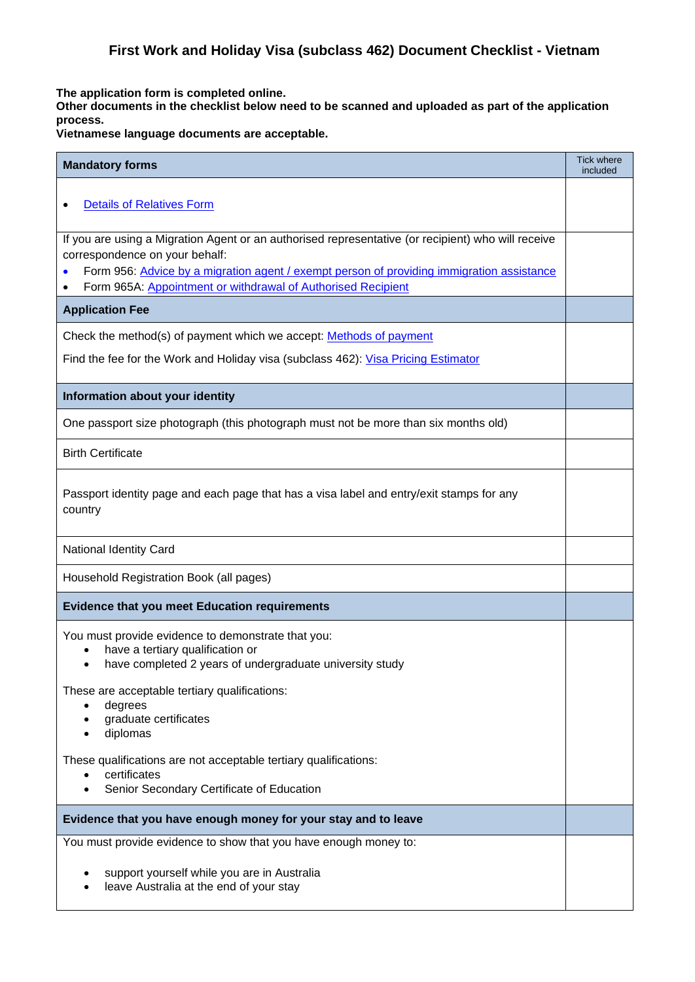**The application form is completed online.** 

**Other documents in the checklist below need to be scanned and uploaded as part of the application process.**

**Vietnamese language documents are acceptable.**

| <b>Mandatory forms</b>                                                                                                                                                                                                                                                                            | <b>Tick where</b><br>included |  |
|---------------------------------------------------------------------------------------------------------------------------------------------------------------------------------------------------------------------------------------------------------------------------------------------------|-------------------------------|--|
| <b>Details of Relatives Form</b>                                                                                                                                                                                                                                                                  |                               |  |
| If you are using a Migration Agent or an authorised representative (or recipient) who will receive<br>correspondence on your behalf:<br>Form 956: Advice by a migration agent / exempt person of providing immigration assistance<br>Form 965A: Appointment or withdrawal of Authorised Recipient |                               |  |
| <b>Application Fee</b>                                                                                                                                                                                                                                                                            |                               |  |
| Check the method(s) of payment which we accept: Methods of payment                                                                                                                                                                                                                                |                               |  |
| Find the fee for the Work and Holiday visa (subclass 462): Visa Pricing Estimator                                                                                                                                                                                                                 |                               |  |
| Information about your identity                                                                                                                                                                                                                                                                   |                               |  |
| One passport size photograph (this photograph must not be more than six months old)                                                                                                                                                                                                               |                               |  |
| <b>Birth Certificate</b>                                                                                                                                                                                                                                                                          |                               |  |
| Passport identity page and each page that has a visa label and entry/exit stamps for any<br>country                                                                                                                                                                                               |                               |  |
| <b>National Identity Card</b>                                                                                                                                                                                                                                                                     |                               |  |
| Household Registration Book (all pages)                                                                                                                                                                                                                                                           |                               |  |
| <b>Evidence that you meet Education requirements</b>                                                                                                                                                                                                                                              |                               |  |
| You must provide evidence to demonstrate that you:<br>have a tertiary qualification or<br>have completed 2 years of undergraduate university study<br>$\bullet$                                                                                                                                   |                               |  |
| These are acceptable tertiary qualifications:<br>degrees<br>graduate certificates<br>diplomas                                                                                                                                                                                                     |                               |  |
| These qualifications are not acceptable tertiary qualifications:<br>certificates<br>Senior Secondary Certificate of Education                                                                                                                                                                     |                               |  |
| Evidence that you have enough money for your stay and to leave                                                                                                                                                                                                                                    |                               |  |
| You must provide evidence to show that you have enough money to:                                                                                                                                                                                                                                  |                               |  |
| support yourself while you are in Australia<br>leave Australia at the end of your stay                                                                                                                                                                                                            |                               |  |